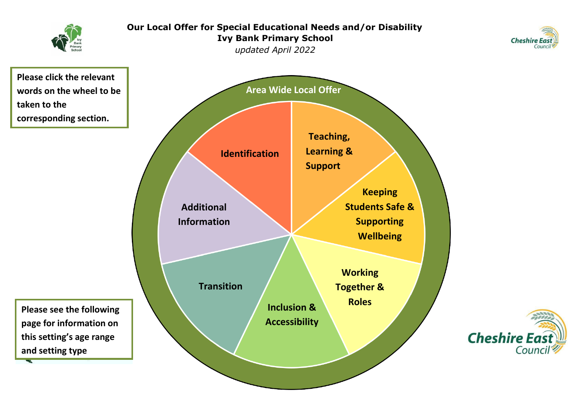<span id="page-0-0"></span>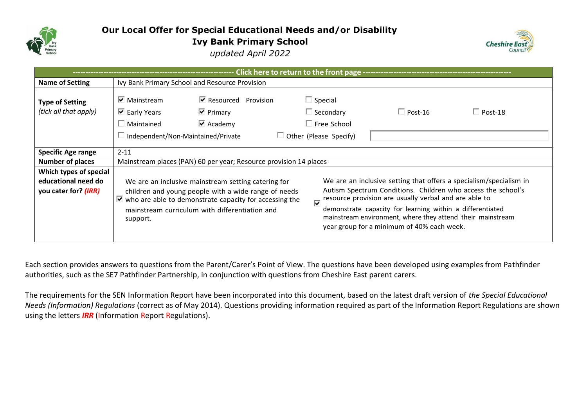

# **Our Local Offer for Special Educational Needs and/or Disability Ivy Bank Primary School** *updated April 2022*



<span id="page-1-0"></span>

| Click here to return to the front page -----------------------        |                                                                                                                 |                                                                                                                                                                                                                                               |                                                                                           |                                                                                                                                                                                                                                                                                                                                                                      |                |  |
|-----------------------------------------------------------------------|-----------------------------------------------------------------------------------------------------------------|-----------------------------------------------------------------------------------------------------------------------------------------------------------------------------------------------------------------------------------------------|-------------------------------------------------------------------------------------------|----------------------------------------------------------------------------------------------------------------------------------------------------------------------------------------------------------------------------------------------------------------------------------------------------------------------------------------------------------------------|----------------|--|
| <b>Name of Setting</b>                                                | Ivy Bank Primary School and Resource Provision                                                                  |                                                                                                                                                                                                                                               |                                                                                           |                                                                                                                                                                                                                                                                                                                                                                      |                |  |
| <b>Type of Setting</b><br>(tick all that apply)                       | $\triangleright$ Mainstream<br>$\triangleright$ Early Years<br>Maintained<br>Independent/Non-Maintained/Private | $\blacksquare$ Resourced Provision<br>$\overline{\mathbf{V}}$ Primary<br>$\overline{\triangledown}$ Academy                                                                                                                                   | $\Box$ Special<br>$\Box$ Secondary<br>$\Box$ Free School<br>$\Box$ Other (Please Specify) | $\Box$ Post-16                                                                                                                                                                                                                                                                                                                                                       | $\Box$ Post-18 |  |
| <b>Specific Age range</b>                                             | $2 - 11$                                                                                                        |                                                                                                                                                                                                                                               |                                                                                           |                                                                                                                                                                                                                                                                                                                                                                      |                |  |
| <b>Number of places</b>                                               | Mainstream places (PAN) 60 per year; Resource provision 14 places                                               |                                                                                                                                                                                                                                               |                                                                                           |                                                                                                                                                                                                                                                                                                                                                                      |                |  |
| Which types of special<br>educational need do<br>you cater for? (IRR) | support.                                                                                                        | We are an inclusive mainstream setting catering for<br>children and young people with a wide range of needs<br>$\blacktriangleright$ who are able to demonstrate capacity for accessing the<br>mainstream curriculum with differentiation and |                                                                                           | We are an inclusive setting that offers a specialism/specialism in<br>Autism Spectrum Conditions. Children who access the school's<br>resource provision are usually verbal and are able to<br>demonstrate capacity for learning within a differentiated<br>mainstream environment, where they attend their mainstream<br>year group for a minimum of 40% each week. |                |  |

Each section provides answers to questions from the Parent/Carer's Point of View. The questions have been developed using examples from Pathfinder authorities, such as the SE7 Pathfinder Partnership, in conjunction with questions from Cheshire East parent carers.

The requirements for the SEN Information Report have been incorporated into this document, based on the latest draft version of *the Special Educational Needs (Information) Regulations* (correct as of May 2014). Questions providing information required as part of the Information Report Regulations are shown using the letters *IRR* (Information Report Regulations).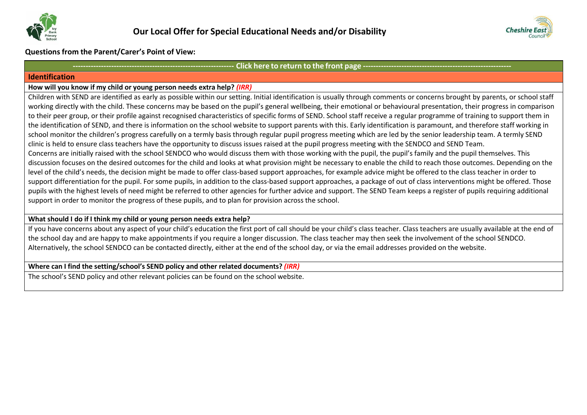



**Questions from the Parent/Carer's Point of View:**

#### Click here to return to the front page --

#### <span id="page-2-0"></span>**Identification**

#### **How will you know if my child or young person needs extra help?** *(IRR)*

Children with SEND are identified as early as possible within our setting. Initial identification is usually through comments or concerns brought by parents, or school staff working directly with the child. These concerns may be based on the pupil's general wellbeing, their emotional or behavioural presentation, their progress in comparison to their peer group, or their profile against recognised characteristics of specific forms of SEND. School staff receive a regular programme of training to support them in the identification of SEND, and there is information on the school website to support parents with this. Early identification is paramount, and therefore staff working in school monitor the children's progress carefully on a termly basis through regular pupil progress meeting which are led by the senior leadership team. A termly SEND clinic is held to ensure class teachers have the opportunity to discuss issues raised at the pupil progress meeting with the SENDCO and SEND Team. Concerns are initially raised with the school SENDCO who would discuss them with those working with the pupil, the pupil's family and the pupil themselves. This discussion focuses on the desired outcomes for the child and looks at what provision might be necessary to enable the child to reach those outcomes. Depending on the level of the child's needs, the decision might be made to offer class-based support approaches, for example advice might be offered to the class teacher in order to support differentiation for the pupil. For some pupils, in addition to the class-based support approaches, a package of out of class interventions might be offered. Those pupils with the highest levels of need might be referred to other agencies for further advice and support. The SEND Team keeps a register of pupils requiring additional support in order to monitor the progress of these pupils, and to plan for provision across the school.

## **What should I do if I think my child or young person needs extra help?**

If you have concerns about any aspect of your child's education the first port of call should be your child's class teacher. Class teachers are usually available at the end of the school day and are happy to make appointments if you require a longer discussion. The class teacher may then seek the involvement of the school SENDCO. Alternatively, the school SENDCO can be contacted directly, either at the end of the school day, or via the email addresses provided on the website.

#### **Where can I find the setting/school's SEND policy and other related documents?** *(IRR)*

The school's SEND policy and other relevant policies can be found on the school website.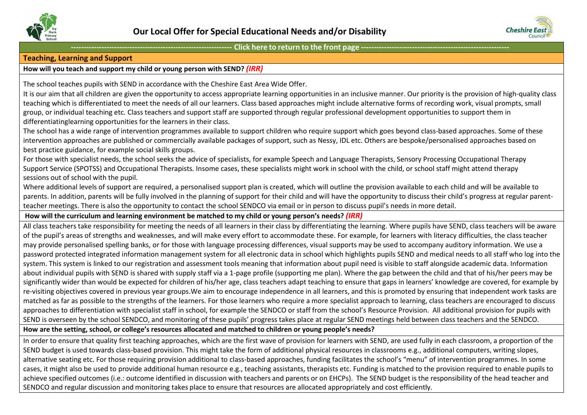



#### <span id="page-3-0"></span>**Teaching, Learning and Support**

## **How will you teach and support my child or young person with SEND?** *(IRR)*

The school teaches pupils with SEND in accordance with the Cheshire East Area Wide Offer.

It is our aim that all children are given the opportunity to access appropriate learning opportunities in an inclusive manner. Our priority is the provision of high-quality class teaching which is differentiated to meet the needs of all our learners. Class based approaches might include alternative forms of recording work, visual prompts, small group, or individual teaching etc. Class teachers and support staff are supported through regular professional development opportunities to support them in differentiatinglearning opportunities for the learners in their class.

The school has a wide range of intervention programmes available to support children who require support which goes beyond class-based approaches. Some of these intervention approaches are published or commercially available packages of support, such as Nessy, IDL etc. Others are bespoke/personalised approaches based on best practice guidance, for example social skills groups.

For those with specialist needs, the school seeks the advice of specialists, for example Speech and Language Therapists, Sensory Processing Occupational Therapy Support Service (SPOTSS) and Occupational Therapists. Insome cases, these specialists might work in school with the child, or school staff might attend therapy sessions out of school with the pupil.

Where additional levels of support are required, a personalised support plan is created, which will outline the provision available to each child and will be available to parents. In addition, parents will be fully involved in the planning of support for their child and will have the opportunity to discuss their child's progress at regular parentteacher meetings. There is also the opportunity to contact the school SENDCO via email or in person to discuss pupil's needs in more detail.

#### **How will the curriculum and learning environment be matched to my child or young person's needs?** *(IRR)*

All class teachers take responsibility for meeting the needs of all learners in their class by differentiating the learning. Where pupils have SEND, class teachers will be aware of the pupil's areas of strengths and weaknesses, and will make every effort to accommodate these. For example, for learners with literacy difficulties, the class teacher may provide personalised spelling banks, or for those with language processing differences, visual supports may be used to accompany auditory information. We use a password protected integrated information management system for all electronic data in school which highlights pupils SEND and medical needs to all staff who log into the system. This system is linked to our registration and assessment tools meaning that information about pupil need is visible to staff alongside academic data. Information about individual pupils with SEND is shared with supply staff via a 1-page profile (supporting me plan). Where the gap between the child and that of his/her peers may be significantly wider than would be expected for children of his/her age, class teachers adapt teaching to ensure that gaps in learners' knowledge are covered, for example by re-visiting objectives covered in previous year groups. We aim to encourage independence in all learners, and this is promoted by ensuring that independent work tasks are matched as far as possible to the strengths of the learners. For those learners who require a more specialist approach to learning, class teachers are encouraged to discuss approaches to differentiation with specialist staff in school, for example the SENDCO or staff from the school's Resource Provision. All additional provision for pupils with SEND is overseen by the school SENDCO, and monitoring of these pupils' progress takes place at regular SEND meetings held between class teachers and the SENDCO.

**How are the setting, school, or college's resources allocated and matched to children or young people's needs?**

In order to ensure that quality first teaching approaches, which are the first wave of provision for learners with SEND, are used fully in each classroom, a proportion of the SEND budget is used towards class-based provision. This might take the form of additional physical resources in classrooms e.g., additional computers, writing slopes, alternative seating etc. For those requiring provision additional to class-based approaches, funding facilitates the school's "menu" of intervention programmes. In some cases, it might also be used to provide additional human resource e.g., teaching assistants, therapists etc. Funding is matched to the provision required to enable pupils to achieve specified outcomes (i.e.: outcome identified in discussion with teachers and parents or on EHCPs). The SEND budget is the responsibility of the head teacher and SENDCO and regular discussion and monitoring takes place to ensure that resources are allocated appropriately and cost efficiently.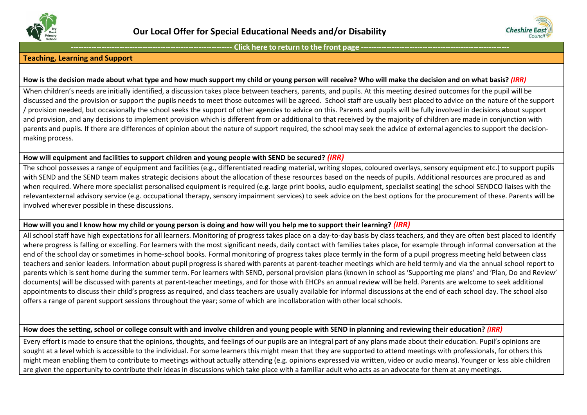



## **Teaching, Learning and Support**

#### How is the decision made about what type and how much support my child or young person will receive? Who will make the decision and on what basis? (IRR)

When children's needs are initially identified, a discussion takes place between teachers, parents, and pupils. At this meeting desired outcomes for the pupil will be discussed and the provision or support the pupils needs to meet those outcomes will be agreed. School staff are usually best placed to advice on the nature of the support / provision needed, but occasionally the school seeks the support of other agencies to advice on this. Parents and pupils will be fully involved in decisions about support and provision, and any decisions to implement provision which is different from or additional to that received by the majority of children are made in conjunction with parents and pupils. If there are differences of opinion about the nature of support required, the school may seek the advice of external agencies to support the decisionmaking process.

#### **How will equipment and facilities to support children and young people with SEND be secured?** *(IRR)*

The school possesses a range of equipment and facilities (e.g., differentiated reading material, writing slopes, coloured overlays, sensory equipment etc.) to support pupils with SEND and the SEND team makes strategic decisions about the allocation of these resources based on the needs of pupils. Additional resources are procured as and when required. Where more specialist personalised equipment is required (e.g. large print books, audio equipment, specialist seating) the school SENDCO liaises with the relevantexternal advisory service (e.g. occupational therapy, sensory impairment services) to seek advice on the best options for the procurement of these. Parents will be involved wherever possible in these discussions.

## How will you and I know how my child or young person is doing and how will you help me to support their learning?  $(fRR)$

All school staff have high expectations for all learners. Monitoring of progress takes place on a day-to-day basis by class teachers, and they are often best placed to identify where progress is falling or excelling. For learners with the most significant needs, daily contact with families takes place, for example through informal conversation at the end of the school day or sometimes in home-school books. Formal monitoring of progress takes place termly in the form of a pupil progress meeting held between class teachers and senior leaders. Information about pupil progress is shared with parents at parent-teacher meetings which are held termly and via the annual school report to parents which is sent home during the summer term. For learners with SEND, personal provision plans (known in school as 'Supporting me plans' and 'Plan, Do and Review' documents) will be discussed with parents at parent-teacher meetings, and for those with EHCPs an annual review will be held. Parents are welcome to seek additional appointments to discuss their child's progress as required, and class teachers are usually available for informal discussions at the end of each school day. The school also offers a range of parent support sessions throughout the year; some of which are incollaboration with other local schools.

## How does the setting, school or college consult with and involve children and young people with SEND in planning and reviewing their education? (IRR)

Every effort is made to ensure that the opinions, thoughts, and feelings of our pupils are an integral part of any plans made about their education. Pupil's opinions are sought at a level which is accessible to the individual. For some learners this might mean that they are supported to attend meetings with professionals, for others this might mean enabling them to contribute to meetings without actually attending (e.g. opinions expressed via written, video or audio means). Younger or less able children are given the opportunity to contribute their ideas in discussions which take place with a familiar adult who acts as an advocate for them at any meetings.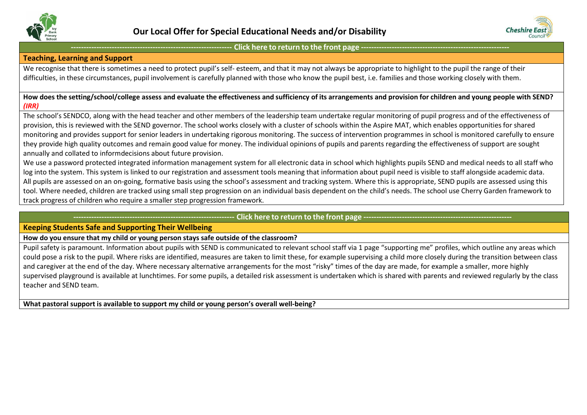



### **Teaching, Learning and Support**

We recognise that there is sometimes a need to protect pupil's self- esteem, and that it may not always be appropriate to highlight to the pupil the range of their difficulties, in these circumstances, pupil involvement is carefully planned with those who know the pupil best, i.e. families and those working closely with them.

#### How does the setting/school/college assess and evaluate the effectiveness and sufficiency of its arrangements and provision for children and young people with SEND? *(IRR)*

The school's SENDCO, along with the head teacher and other members of the leadership team undertake regular monitoring of pupil progress and of the effectiveness of provision, this is reviewed with the SEND governor. The school works closely with a cluster of schools within the Aspire MAT, which enables opportunities for shared monitoring and provides support for senior leaders in undertaking rigorous monitoring. The success of intervention programmes in school is monitored carefully to ensure they provide high quality outcomes and remain good value for money. The individual opinions of pupils and parents regarding the effectiveness of support are sought annually and collated to informdecisions about future provision.

We use a password protected integrated information management system for all electronic data in school which highlights pupils SEND and medical needs to all staff who log into the system. This system is linked to our registration and assessment tools meaning that information about pupil need is visible to staff alongside academic data. All pupils are assessed on an on-going, formative basis using the school's assessment and tracking system. Where this is appropriate, SEND pupils are assessed using this tool. Where needed, children are tracked using small step progression on an individual basis dependent on the child's needs. The school use Cherry Garden framework to track progress of children who require a smaller step progression framework.

## Click here to return to the front page -

## <span id="page-5-0"></span>**Keeping Students Safe and Supporting Their Wellbeing**

**How do you ensure that my child or young person stays safe outside of the classroom?**

Pupil safety is paramount. Information about pupils with SEND is communicated to relevant school staff via 1 page "supporting me" profiles, which outline any areas which could pose a risk to the pupil. Where risks are identified, measures are taken to limit these, for example supervising a child more closely during the transition between class and caregiver at the end of the day. Where necessary alternative arrangements for the most "risky" times of the day are made, for example a smaller, more highly supervised playground is available at lunchtimes. For some pupils, a detailed risk assessment is undertaken which is shared with parents and reviewed regularly by the class teacher and SEND team.

**What pastoral support is available to support my child or young person's overall well-being?**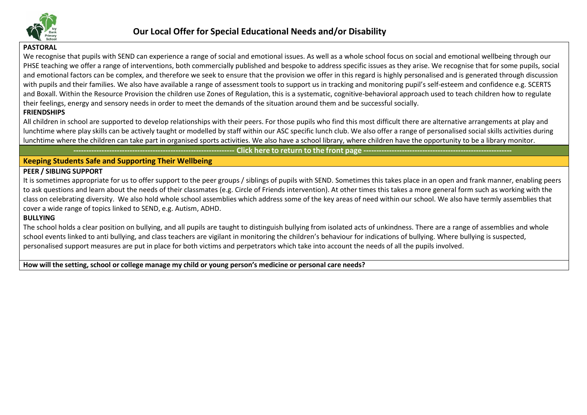

## **PASTORAL**

We recognise that pupils with SEND can experience a range of social and emotional issues. As well as a whole school focus on social and emotional wellbeing through our PHSE teaching we offer a range of interventions, both commercially published and bespoke to address specific issues as they arise. We recognise that for some pupils, social and emotional factors can be complex, and therefore we seek to ensure that the provision we offer in this regard is highly personalised and is generated through discussion with pupils and their families. We also have available a range of assessment tools to support us in tracking and monitoring pupil's self-esteem and confidence e.g. SCERTS and Boxall. Within the Resource Provision the children use Zones of Regulation, this is a systematic, cognitive-behavioral approach used to teach children how to regulate their feelings, energy and sensory needs in order to meet the demands of the situation around them and be successful socially.

## **FRIENDSHIPS**

All children in school are supported to develop relationships with their peers. For those pupils who find this most difficult there are alternative arrangements at play and lunchtime where play skills can be actively taught or modelled by staff within our ASC specific lunch club. We also offer a range of personalised social skills activities during lunchtime where the children can take part in organised sports activities. We also have a school library, where children have the opportunity to be a library monitor.

Click here to return to the front page -

## **Keeping Students Safe and Supporting Their Wellbeing**

#### **PEER / SIBLING SUPPORT**

It is sometimes appropriate for us to offer support to the peer groups / siblings of pupils with SEND. Sometimes this takes place in an open and frank manner, enabling peers to ask questions and learn about the needs of their classmates (e.g. Circle of Friends intervention). At other times this takes a more general form such as working with the class on celebrating diversity. We also hold whole school assemblies which address some of the key areas of need within our school. We also have termly assemblies that cover a wide range of topics linked to SEND, e.g. Autism, ADHD.

#### **BULLYING**

The school holds a clear position on bullying, and all pupils are taught to distinguish bullying from isolated acts of unkindness. There are a range of assemblies and whole school events linked to anti bullying, and class teachers are vigilant in monitoring the children's behaviour for indications of bullying. Where bullying is suspected, personalised support measures are put in place for both victims and perpetrators which take into account the needs of all the pupils involved.

How will the setting, school or college manage my child or young person's medicine or personal care needs?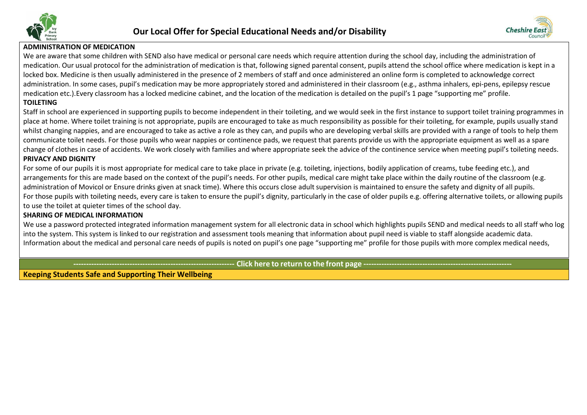



## **ADMINISTRATION OF MEDICATION**

We are aware that some children with SEND also have medical or personal care needs which require attention during the school day, including the administration of medication. Our usual protocol for the administration of medication is that, following signed parental consent, pupils attend the school office where medication is kept in a locked box. Medicine is then usually administered in the presence of 2 members of staff and once administered an online form is completed to acknowledge correct administration. In some cases, pupil's medication may be more appropriately stored and administered in their classroom (e.g., asthma inhalers, epi-pens, epilepsy rescue medication etc.).Every classroom has a locked medicine cabinet, and the location of the medication is detailed on the pupil's 1 page "supporting me" profile.

## **TOILETING**

Staff in school are experienced in supporting pupils to become independent in their toileting, and we would seek in the first instance to support toilet training programmes in place at home. Where toilet training is not appropriate, pupils are encouraged to take as much responsibility as possible for their toileting, for example, pupils usually stand whilst changing nappies, and are encouraged to take as active a role as they can, and pupils who are developing verbal skills are provided with a range of tools to help them communicate toilet needs. For those pupils who wear nappies or continence pads, we request that parents provide us with the appropriate equipment as well as a spare change of clothes in case of accidents. We work closely with families and where appropriate seek the advice of the continence service when meeting pupil's toileting needs. **PRIVACY AND DIGNITY**

For some of our pupils it is most appropriate for medical care to take place in private (e.g. toileting, injections, bodily application of creams, tube feeding etc.), and arrangements for this are made based on the context of the pupil's needs. For other pupils, medical care might take place within the daily routine of the classroom (e.g. administration of Movicol or Ensure drinks given at snack time). Where this occurs close adult supervision is maintained to ensure the safety and dignity of all pupils. For those pupils with toileting needs, every care is taken to ensure the pupil's dignity, particularly in the case of older pupils e.g. offering alternative toilets, or allowing pupils to use the toilet at quieter times of the school day.

## **SHARING OF MEDICAL INFORMATION**

We use a password protected integrated information management system for all electronic data in school which highlights pupils SEND and medical needs to all staff who log into the system. This system is linked to our registration and assessment tools meaning that information about pupil need is viable to staff alongside academic data. Information about the medical and personal care needs of pupils is noted on pupil's one page "supporting me" profile for those pupils with more complex medical needs,

Click here to return to the front page.

**Keeping Students Safe and Supporting Their Wellbeing**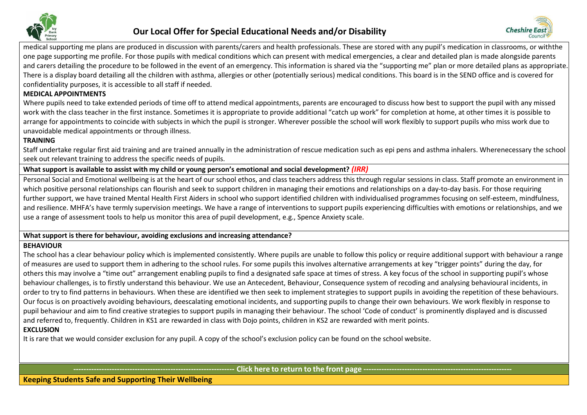



medical supporting me plans are produced in discussion with parents/carers and health professionals. These are stored with any pupil's medication in classrooms, or withthe one page supporting me profile. For those pupils with medical conditions which can present with medical emergencies, a clear and detailed plan is made alongside parents and carers detailing the procedure to be followed in the event of an emergency. This information is shared via the "supporting me" plan or more detailed plans as appropriate. There is a display board detailing all the children with asthma, allergies or other (potentially serious) medical conditions. This board is in the SEND office and is covered for confidentiality purposes, it is accessible to all staff if needed.

## **MEDICAL APPOINTMENTS**

Where pupils need to take extended periods of time off to attend medical appointments, parents are encouraged to discuss how best to support the pupil with any missed work with the class teacher in the first instance. Sometimes it is appropriate to provide additional "catch up work" for completion at home, at other times it is possible to arrange for appointments to coincide with subjects in which the pupil is stronger. Wherever possible the school will work flexibly to support pupils who miss work due to unavoidable medical appointments or through illness.

## **TRAINING**

Staff undertake regular first aid training and are trained annually in the administration of rescue medication such as epi pens and asthma inhalers. Wherenecessary the school seek out relevant training to address the specific needs of pupils.

## What support is available to assist with my child or young person's emotional and social development? (IRR)

Personal Social and Emotional wellbeing is at the heart of our school ethos, and class teachers address this through regular sessions in class. Staff promote an environment in which positive personal relationships can flourish and seek to support children in managing their emotions and relationships on a day-to-day basis. For those requiring further support, we have trained Mental Health First Aiders in school who support identified children with individualised programmes focusing on self-esteem, mindfulness, and resilience. MHFA's have termly supervision meetings. We have a range of interventions to support pupils experiencing difficulties with emotions or relationships, and we use a range of assessment tools to help us monitor this area of pupil development, e.g., Spence Anxiety scale.

## **What support is there for behaviour, avoiding exclusions and increasing attendance?**

## **BEHAVIOUR**

The school has a clear behaviour policy which is implemented consistently. Where pupils are unable to follow this policy or require additional support with behaviour a range of measures are used to support them in adhering to the school rules. For some pupils this involves alternative arrangements at key "trigger points" during the day, for others this may involve a "time out" arrangement enabling pupils to find a designated safe space at times of stress. A key focus of the school in supporting pupil's whose behaviour challenges, is to firstly understand this behaviour. We use an Antecedent, Behaviour, Consequence system of recoding and analysing behavioural incidents, in order to try to find patterns in behaviours. When these are identified we then seek to implement strategies to support pupils in avoiding the repetition of these behaviours. Our focus is on proactively avoiding behaviours, deescalating emotional incidents, and supporting pupils to change their own behaviours. We work flexibly in response to pupil behaviour and aim to find creative strategies to support pupils in managing their behaviour. The school 'Code of conduct' is prominently displayed and is discussed and referred to, frequently. Children in KS1 are rewarded in class with Dojo points, children in KS2 are rewarded with merit points.

## **EXCLUSION**

It is rare that we would consider exclusion for any pupil. A copy of the school's exclusion policy can be found on the school website.

Click here to return to the front page ---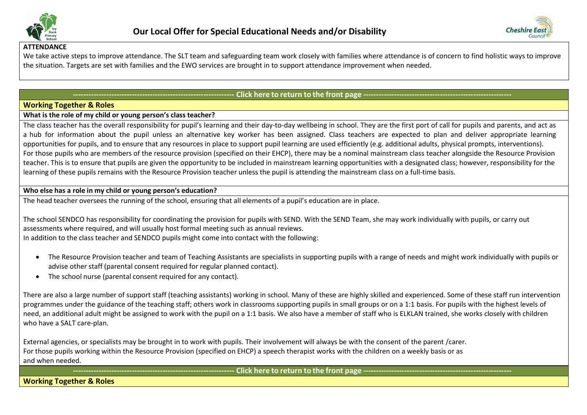



#### **ATTENDANCE**

We take active steps to improve attendance. The SLT team and safeguarding team work closely with families where attendance is of concern to find holistic ways to improve the situation. Targets are set with families and the EWO services are brought in to support attendance improvement when needed.

## - Click here to return to the front page --

## <span id="page-9-0"></span>**Working Together & Roles**

## **What is the role of my child or young person's class teacher?**

The class teacher has the overall responsibility for pupil's learning and their day-to-day wellbeing in school. They are the first port of call for pupils and parents, and act as a hub for information about the pupil unless an alternative key worker has been assigned. Class teachers are expected to plan and deliver appropriate learning opportunities for pupils, and to ensure that any resources in place to support pupil learning are used efficiently (e.g. additional adults, physical prompts, interventions). For those pupils who are members of the resource provision (specified on their EHCP), there may be a nominal mainstream class teacher alongside the Resource Provision teacher. This is to ensure that pupils are given the opportunity to be included in mainstream learning opportunities with a designated class; however, responsibility for the learning of these pupils remains with the Resource Provision teacher unless the pupil is attending the mainstream class on a full-time basis.

## **Who else has a role in my child or young person's education?**

The head teacher oversees the running of the school, ensuring that all elements of a pupil's education are in place.

The school SENDCO has responsibility for coordinating the provision for pupils with SEND. With the SEND Team, she may work individually with pupils, or carry out assessments where required, and will usually host formal meeting such as annual reviews. In addition to the class teacher and SENDCO pupils might come into contact with the following:

- The Resource Provision teacher and team of Teaching Assistants are specialists in supporting pupils with a range of needs and might work individually with pupils or advise other staff (parental consent required for regular planned contact).
- The school nurse (parental consent required for any contact).

There are also a large number of support staff (teaching assistants) working in school. Many of these are highly skilled and experienced. Some of these staff run intervention programmes under the guidance of the teaching staff; others work in classrooms supporting pupils in small groups or on a 1:1 basis. For pupils with the highest levels of need, an additional adult might be assigned to work with the pupil on a 1:1 basis. We also have a member of staff who is ELKLAN trained, she works closely with children who have a SALT care-plan.

External agencies, or specialists may be brought in to work with pupils. Their involvement will always be with the consent of the parent /carer. For those pupils working within the Resource Provision (specified on EHCP) a speech therapist works with the children on a weekly basis or as and when needed.

## Click here to return to the front page --

**Working Together & Roles**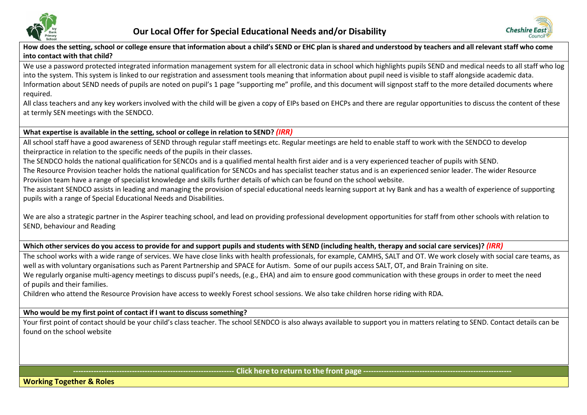



How does the setting, school or college ensure that information about a child's SEND or EHC plan is shared and understood by teachers and all relevant staff who come **into contact with that child?**

We use a password protected integrated information management system for all electronic data in school which highlights pupils SEND and medical needs to all staff who log into the system. This system is linked to our registration and assessment tools meaning that information about pupil need is visible to staff alongside academic data. Information about SEND needs of pupils are noted on pupil's 1 page "supporting me" profile, and this document will signpost staff to the more detailed documents where required.

All class teachers and any key workers involved with the child will be given a copy of EIPs based on EHCPs and there are regular opportunities to discuss the content of these at termly SEN meetings with the SENDCO.

## **What expertise is available in the setting, school or college in relation to SEND?** *(IRR)*

All school staff have a good awareness of SEND through regular staff meetings etc. Regular meetings are held to enable staff to work with the SENDCO to develop theirpractice in relation to the specific needs of the pupils in their classes.

The SENDCO holds the national qualification for SENCOs and is a qualified mental health first aider and is a very experienced teacher of pupils with SEND.

The Resource Provision teacher holds the national qualification for SENCOs and has specialist teacher status and is an experienced senior leader. The wider Resource Provision team have a range of specialist knowledge and skills further details of which can be found on the school website.

The assistant SENDCO assists in leading and managing the provision of special educational needs learning support at Ivy Bank and has a wealth of experience of supporting pupils with a range of Special Educational Needs and Disabilities.

We are also a strategic partner in the Aspirer teaching school, and lead on providing professional development opportunities for staff from other schools with relation to SEND, behaviour and Reading

Which other services do you access to provide for and support pupils and students with SEND (including health, therapy and social care services)? (IRR)

The school works with a wide range of services. We have close links with health professionals, for example, CAMHS, SALT and OT. We work closely with social care teams, as well as with voluntary organisations such as Parent Partnership and SPACE for Autism. Some of our pupils access SALT, OT, and Brain Training on site. We regularly organise multi-agency meetings to discuss pupil's needs, (e.g., EHA) and aim to ensure good communication with these groups in order to meet the need of pupils and their families.

Children who attend the Resource Provision have access to weekly Forest school sessions. We also take children horse riding with RDA.

## **Who would be my first point of contact if I want to discuss something?**

Your first point of contact should be your child's class teacher. The school SENDCO is also always available to support you in matters relating to SEND. Contact details can be found on the school website

- Click here to return to the front page ------

**Working Together & Roles**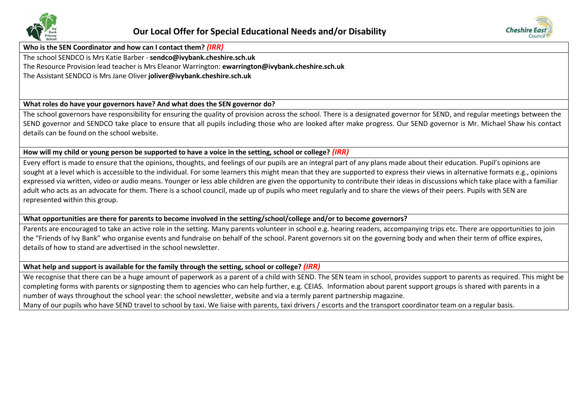



**Who is the SEN Coordinator and how can I contact them?** *(IRR)*

The school SENDCO is Mrs Katie Barber - **[sendco@ivybank.cheshire.sch.uk](mailto:sendco@ivybank.cheshire.sch.uk)** The Resource Provision lead teacher is Mrs Eleanor Warrington: **[ewarrington@ivybank.cheshire.sch.uk](mailto:ewarrington@ivybank.cheshire.sch.uk)** The Assistant SENDCO is Mrs Jane Oliver **[joliver@ivybank.cheshire.sch.uk](mailto:joliver@ivybank.cheshire.sch.uk)**

## **What roles do have your governors have? And what does the SEN governor do?**

The school governors have responsibility for ensuring the quality of provision across the school. There is a designated governor for SEND, and regular meetings between the SEND governor and SENDCO take place to ensure that all pupils including those who are looked after make progress. Our SEND governor is Mr. Michael Shaw his contact details can be found on the school website.

## How will my child or young person be supported to have a voice in the setting, school or college? (IRR)

Every effort is made to ensure that the opinions, thoughts, and feelings of our pupils are an integral part of any plans made about their education. Pupil's opinions are sought at a level which is accessible to the individual. For some learners this might mean that they are supported to express their views in alternative formats e.g., opinions expressed via written, video or audio means. Younger or less able children are given the opportunity to contribute their ideas in discussions which take place with a familiar adult who acts as an advocate for them. There is a school council, made up of pupils who meet regularly and to share the views of their peers. Pupils with SEN are represented within this group.

## What opportunities are there for parents to become involved in the setting/school/college and/or to become governors?

Parents are encouraged to take an active role in the setting. Many parents volunteer in school e.g. hearing readers, accompanying trips etc. There are opportunities to join the "Friends of Ivy Bank" who organise events and fundraise on behalf of the school. Parent governors sit on the governing body and when their term of office expires, details of how to stand are advertised in the school newsletter.

## **What help and support is available for the family through the setting, school or college?** *(IRR)*

We recognise that there can be a huge amount of paperwork as a parent of a child with SEND. The SEN team in school, provides support to parents as required. This might be completing forms with parents or signposting them to agencies who can help further, e.g. CEIAS. Information about parent support groups is shared with parents in a number of ways throughout the school year: the school newsletter, website and via a termly parent partnership magazine. Many of our pupils who have SEND travel to school by taxi. We liaise with parents, taxi drivers / escorts and the transport coordinator team on a regular basis.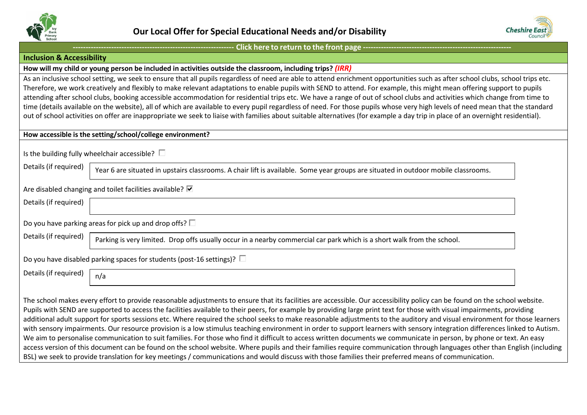



#### <span id="page-12-0"></span>**Inclusion & Accessibility**

#### **How will my child or young person be included in activities outside the classroom, including trips?** *(IRR)*

As an inclusive school setting, we seek to ensure that all pupils regardless of need are able to attend enrichment opportunities such as after school clubs, school trips etc. Therefore, we work creatively and flexibly to make relevant adaptations to enable pupils with SEND to attend. For example, this might mean offering support to pupils attending after school clubs, booking accessible accommodation for residential trips etc. We have a range of out of school clubs and activities which change from time to time (details available on the website), all of which are available to every pupil regardless of need. For those pupils whose very high levels of need mean that the standard out of school activities on offer are inappropriate we seek to liaise with families about suitable alternatives (for example a day trip in place of an overnight residential).

**How accessible is the setting/school/college environment?**

Is the building fully wheelchair accessible?  $\square$ 

Details (if required) year 6 are situated in upstairs classrooms. A chair lift is available. Some year groups are situated in outdoor mobile classrooms.

#### Are disabled changing and toilet facilities available?  $\blacksquare$

| Details (if required)                                                          |                                                                                                                         |  |  |  |
|--------------------------------------------------------------------------------|-------------------------------------------------------------------------------------------------------------------------|--|--|--|
|                                                                                | Do you have parking areas for pick up and drop offs? $\square$                                                          |  |  |  |
| Details (if required)                                                          | Parking is very limited. Drop offs usually occur in a nearby commercial car park which is a short walk from the school. |  |  |  |
| Do you have disabled parking spaces for students (post-16 settings)? $\square$ |                                                                                                                         |  |  |  |
| Details (if required)                                                          | n/a                                                                                                                     |  |  |  |

The school makes every effort to provide reasonable adjustments to ensure that its facilities are accessible. Our accessibility policy can be found on the school website. Pupils with SEND are supported to access the facilities available to their peers, for example by providing large print text for those with visual impairments, providing additional adult support for sports sessions etc. Where required the school seeks to make reasonable adjustments to the auditory and visual environment for those learners with sensory impairments. Our resource provision is a low stimulus teaching environment in order to support learners with sensory integration differences linked to Autism. We aim to personalise communication to suit families. For those who find it difficult to access written documents we communicate in person, by phone or text. An easy access version of this document can be found on the school website. Where pupils and their families require communication through languages other than English (including BSL) we seek to provide translation for key meetings / communications and would discuss with those families their preferred means of communication.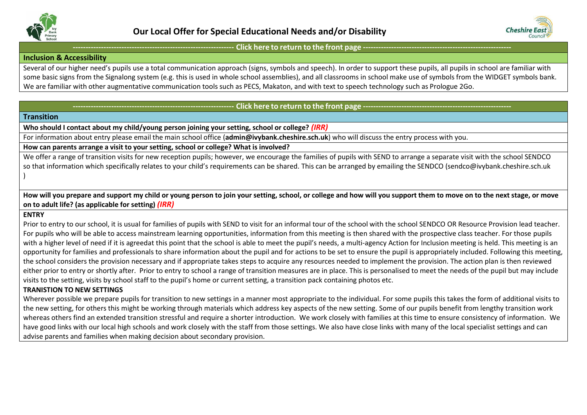



#### **Inclusion & Accessibility**

Several of our higher need's pupils use a total communication approach (signs, symbols and speech). In order to support these pupils, all pupils in school are familiar with some basic signs from the Signalong system (e.g. this is used in whole school assemblies), and all classrooms in school make use of symbols from the WIDGET symbols bank. We are familiar with other augmentative communication tools such as PECS, Makaton, and with text to speech technology such as Prologue 2Go.

## Click here to return to the front page

## <span id="page-13-0"></span>**Transition**

**Who should I contact about my child/young person joining your setting, school or college?** *(IRR)*

For information about entry please email the main school office (**[admin@ivybank.cheshire.sch.uk](mailto:admin@ivybank.cheshire.sch.uk)**) who will discuss the entry process with you.

#### **How can parents arrange a visit to your setting, school or college? What is involved?**

We offer a range of transition visits for new reception pupils; however, we encourage the families of pupils with SEND to arrange a separate visit with the school SENDCO so that information which specifically relates to your child's requirements can be shared. This can be arranged by emailing the SENDCO [\(sendco@ivybank.cheshire.sch.uk](mailto:sendco@ivybank.cheshire.sch.uk) )

How will you prepare and support my child or young person to join your setting, school, or college and how will you support them to move on to the next stage, or move **on to adult life? (as applicable for setting)** *(IRR)*

#### **ENTRY**

Prior to entry to our school, it is usual for families of pupils with SEND to visit for an informal tour of the school with the school SENDCO OR Resource Provision lead teacher. For pupils who will be able to access mainstream learning opportunities, information from this meeting is then shared with the prospective class teacher. For those pupils with a higher level of need if it is agreedat this point that the school is able to meet the pupil's needs, a multi-agency Action for Inclusion meeting is held. This meeting is an opportunity for families and professionals to share information about the pupil and for actions to be set to ensure the pupil is appropriately included. Following this meeting, the school considers the provision necessary and if appropriate takes steps to acquire any resources needed to implement the provision. The action plan is then reviewed either prior to entry or shortly after. Prior to entry to school a range of transition measures are in place. This is personalised to meet the needs of the pupil but may include visits to the setting, visits by school staff to the pupil's home or current setting, a transition pack containing photos etc.

## **TRANISTION TO NEW SETTINGS**

Wherever possible we prepare pupils for transition to new settings in a manner most appropriate to the individual. For some pupils this takes the form of additional visits to the new setting, for others this might be working through materials which address key aspects of the new setting. Some of our pupils benefit from lengthy transition work whereas others find an extended transition stressful and require a shorter introduction. We work closely with families at this time to ensure consistency of information. We have good links with our local high schools and work closely with the staff from those settings. We also have close links with many of the local specialist settings and can advise parents and families when making decision about secondary provision.